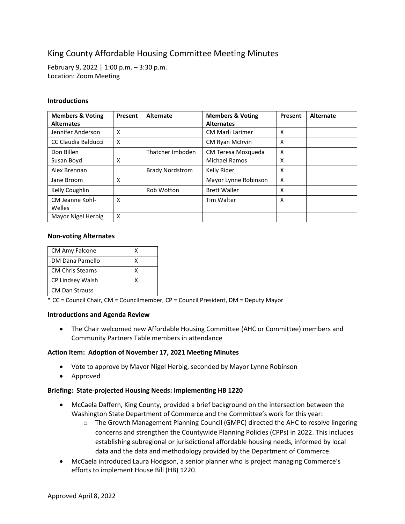# King County Affordable Housing Committee Meeting Minutes

February 9, 2022 | 1:00 p.m. – 3:30 p.m. Location: Zoom Meeting

### **Introductions**

| <b>Members &amp; Voting</b> | Present | <b>Alternate</b>       | <b>Members &amp; Voting</b> | Present | Alternate |
|-----------------------------|---------|------------------------|-----------------------------|---------|-----------|
| <b>Alternates</b>           |         |                        | <b>Alternates</b>           |         |           |
| Jennifer Anderson           | X       |                        | <b>CM Marli Larimer</b>     | X       |           |
| CC Claudia Balducci         | X       |                        | CM Ryan McIrvin             | X       |           |
| Don Billen                  |         | Thatcher Imboden       | CM Teresa Mosqueda          | X       |           |
| Susan Boyd                  | X       |                        | Michael Ramos               | X       |           |
| Alex Brennan                |         | <b>Brady Nordstrom</b> | Kelly Rider                 | X       |           |
| Jane Broom                  | X       |                        | Mayor Lynne Robinson        | X       |           |
| Kelly Coughlin              |         | Rob Wotton             | <b>Brett Waller</b>         | X       |           |
| CM Jeanne Kohl-             | X       |                        | <b>Tim Walter</b>           | X       |           |
| Welles                      |         |                        |                             |         |           |
| Mayor Nigel Herbig          | X       |                        |                             |         |           |

#### **Non-voting Alternates**

| <b>CM Amy Falcone</b>   |  |
|-------------------------|--|
| DM Dana Parnello        |  |
| <b>CM Chris Stearns</b> |  |
| CP Lindsey Walsh        |  |
| <b>CM Dan Strauss</b>   |  |

\* CC = Council Chair, CM = Councilmember, CP = Council President, DM = Deputy Mayor

#### **Introductions and Agenda Review**

• The Chair welcomed new Affordable Housing Committee (AHC or Committee) members and Community Partners Table members in attendance

#### **Action Item: Adoption of November 17, 2021 Meeting Minutes**

- Vote to approve by Mayor Nigel Herbig, seconded by Mayor Lynne Robinson
- Approved

#### **Briefing: State-projected Housing Needs: Implementing HB 1220**

- McCaela Daffern, King County, provided a brief background on the intersection between the Washington State Department of Commerce and the Committee's work for this year:
	- o The Growth Management Planning Council (GMPC) directed the AHC to resolve lingering concerns and strengthen the Countywide Planning Policies (CPPs) in 2022. This includes establishing subregional or jurisdictional affordable housing needs, informed by local data and the data and methodology provided by the Department of Commerce.
- McCaela introduced Laura Hodgson, a senior planner who is project managing Commerce's efforts to implement House Bill (HB) 1220.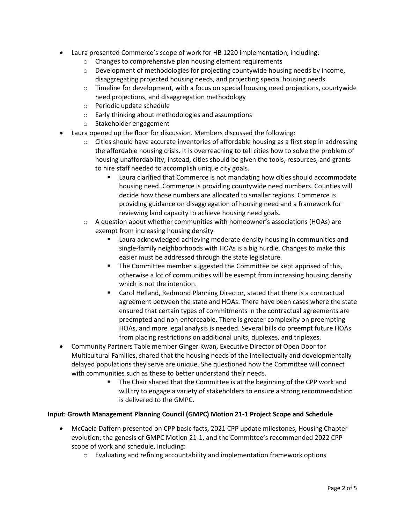- Laura presented Commerce's scope of work for HB 1220 implementation, including:
	- o Changes to comprehensive plan housing element requirements
	- $\circ$  Development of methodologies for projecting countywide housing needs by income, disaggregating projected housing needs, and projecting special housing needs
	- $\circ$  Timeline for development, with a focus on special housing need projections, countywide need projections, and disaggregation methodology
	- o Periodic update schedule
	- o Early thinking about methodologies and assumptions
	- o Stakeholder engagement
- Laura opened up the floor for discussion. Members discussed the following:
	- $\circ$  Cities should have accurate inventories of affordable housing as a first step in addressing the affordable housing crisis. It is overreaching to tell cities how to solve the problem of housing unaffordability; instead, cities should be given the tools, resources, and grants to hire staff needed to accomplish unique city goals.
		- Laura clarified that Commerce is not mandating how cities should accommodate housing need. Commerce is providing countywide need numbers. Counties will decide how those numbers are allocated to smaller regions. Commerce is providing guidance on disaggregation of housing need and a framework for reviewing land capacity to achieve housing need goals.
	- $\circ$  A question about whether communities with homeowner's associations (HOAs) are exempt from increasing housing density
		- Laura acknowledged achieving moderate density housing in communities and single-family neighborhoods with HOAs is a big hurdle. Changes to make this easier must be addressed through the state legislature.
		- The Committee member suggested the Committee be kept apprised of this, otherwise a lot of communities will be exempt from increasing housing density which is not the intention.
		- Carol Helland, Redmond Planning Director, stated that there is a contractual agreement between the state and HOAs. There have been cases where the state ensured that certain types of commitments in the contractual agreements are preempted and non-enforceable. There is greater complexity on preempting HOAs, and more legal analysis is needed. Several bills do preempt future HOAs from placing restrictions on additional units, duplexes, and triplexes.
- Community Partners Table member Ginger Kwan, Executive Director of Open Door for Multicultural Families, shared that the housing needs of the intellectually and developmentally delayed populations they serve are unique. She questioned how the Committee will connect with communities such as these to better understand their needs.
	- The Chair shared that the Committee is at the beginning of the CPP work and will try to engage a variety of stakeholders to ensure a strong recommendation is delivered to the GMPC.

## **Input: Growth Management Planning Council (GMPC) Motion 21-1 Project Scope and Schedule**

- McCaela Daffern presented on CPP basic facts, 2021 CPP update milestones, Housing Chapter evolution, the genesis of GMPC Motion 21-1, and the Committee's recommended 2022 CPP scope of work and schedule, including:
	- o Evaluating and refining accountability and implementation framework options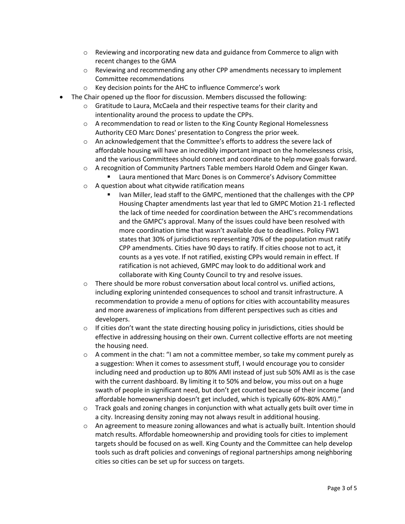- $\circ$  Reviewing and incorporating new data and guidance from Commerce to align with recent changes to the GMA
- o Reviewing and recommending any other CPP amendments necessary to implement Committee recommendations
- o Key decision points for the AHC to influence Commerce's work
- The Chair opened up the floor for discussion. Members discussed the following:
	- o Gratitude to Laura, McCaela and their respective teams for their clarity and intentionality around the process to update the CPPs.
	- o A recommendation to read or listen to the King County Regional Homelessness Authority CEO Marc Dones' presentation to Congress the prior week.
	- o An acknowledgement that the Committee's efforts to address the severe lack of affordable housing will have an incredibly important impact on the homelessness crisis, and the various Committees should connect and coordinate to help move goals forward.
	- o A recognition of Community Partners Table members Harold Odem and Ginger Kwan.
		- Laura mentioned that Marc Dones is on Commerce's Advisory Committee
	- o A question about what citywide ratification means
		- Ivan Miller, lead staff to the GMPC, mentioned that the challenges with the CPP Housing Chapter amendments last year that led to GMPC Motion 21-1 reflected the lack of time needed for coordination between the AHC's recommendations and the GMPC's approval. Many of the issues could have been resolved with more coordination time that wasn't available due to deadlines. Policy FW1 states that 30% of jurisdictions representing 70% of the population must ratify CPP amendments. Cities have 90 days to ratify. If cities choose not to act, it counts as a yes vote. If not ratified, existing CPPs would remain in effect. If ratification is not achieved, GMPC may look to do additional work and collaborate with King County Council to try and resolve issues.
	- $\circ$  There should be more robust conversation about local control vs. unified actions, including exploring unintended consequences to school and transit infrastructure. A recommendation to provide a menu of options for cities with accountability measures and more awareness of implications from different perspectives such as cities and developers.
	- $\circ$  If cities don't want the state directing housing policy in jurisdictions, cities should be effective in addressing housing on their own. Current collective efforts are not meeting the housing need.
	- $\circ$  A comment in the chat: "I am not a committee member, so take my comment purely as a suggestion: When it comes to assessment stuff, I would encourage you to consider including need and production up to 80% AMI instead of just sub 50% AMI as is the case with the current dashboard. By limiting it to 50% and below, you miss out on a huge swath of people in significant need, but don't get counted because of their income (and affordable homeownership doesn't get included, which is typically 60%-80% AMI)."
	- $\circ$  Track goals and zoning changes in conjunction with what actually gets built over time in a city. Increasing density zoning may not always result in additional housing.
	- o An agreement to measure zoning allowances and what is actually built. Intention should match results. Affordable homeownership and providing tools for cities to implement targets should be focused on as well. King County and the Committee can help develop tools such as draft policies and convenings of regional partnerships among neighboring cities so cities can be set up for success on targets.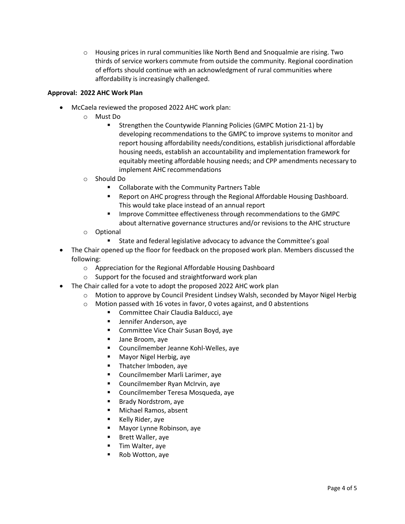$\circ$  Housing prices in rural communities like North Bend and Snoqualmie are rising. Two thirds of service workers commute from outside the community. Regional coordination of efforts should continue with an acknowledgment of rural communities where affordability is increasingly challenged.

## **Approval: 2022 AHC Work Plan**

- McCaela reviewed the proposed 2022 AHC work plan:
	- o Must Do
		- Strengthen the Countywide Planning Policies (GMPC Motion 21-1) by developing recommendations to the GMPC to improve systems to monitor and report housing affordability needs/conditions, establish jurisdictional affordable housing needs, establish an accountability and implementation framework for equitably meeting affordable housing needs; and CPP amendments necessary to implement AHC recommendations
	- o Should Do
		- Collaborate with the Community Partners Table
		- Report on AHC progress through the Regional Affordable Housing Dashboard. This would take place instead of an annual report
		- Improve Committee effectiveness through recommendations to the GMPC about alternative governance structures and/or revisions to the AHC structure
	- o Optional
		- State and federal legislative advocacy to advance the Committee's goal
- The Chair opened up the floor for feedback on the proposed work plan. Members discussed the following:
	- o Appreciation for the Regional Affordable Housing Dashboard
	- o Support for the focused and straightforward work plan
- The Chair called for a vote to adopt the proposed 2022 AHC work plan
	- o Motion to approve by Council President Lindsey Walsh, seconded by Mayor Nigel Herbig
	- o Motion passed with 16 votes in favor, 0 votes against, and 0 abstentions
		- Committee Chair Claudia Balducci, aye
		- Jennifer Anderson, aye
		- Committee Vice Chair Susan Boyd, aye
		- Jane Broom, aye
		- Councilmember Jeanne Kohl-Welles, aye
		- Mayor Nigel Herbig, aye
		- Thatcher Imboden, aye
		- Councilmember Marli Larimer, aye
		- Councilmember Ryan McIrvin, aye
		- Councilmember Teresa Mosqueda, aye
		- Brady Nordstrom, aye
		- Michael Ramos, absent
		- Kelly Rider, aye
		- Mayor Lynne Robinson, aye
		- Brett Waller, aye
		- Tim Walter, aye
		- Rob Wotton, aye